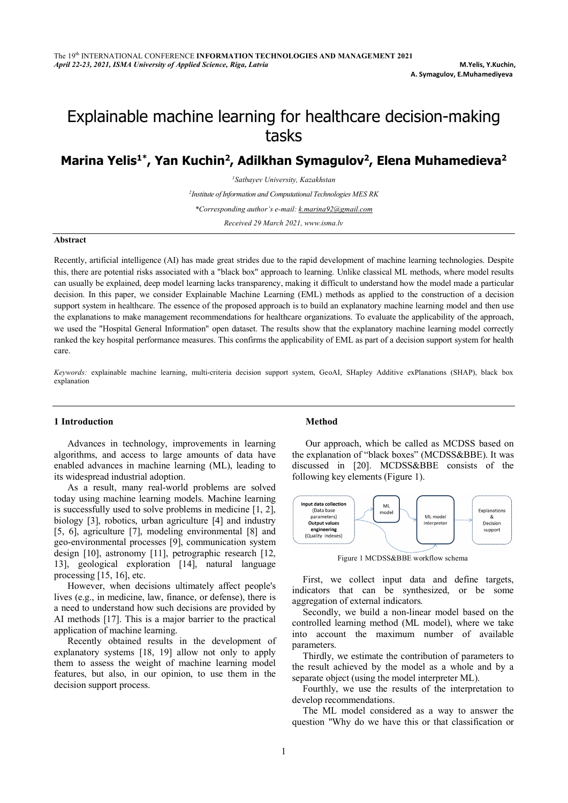# Explainable machine learning for healthcare decision-making tasks

# Marina Yelis<sup>1\*</sup>, Yan Kuchin<sup>2</sup>, Adilkhan Symagulov<sup>2</sup>, Elena Muhamedieva<sup>2</sup>

*1 Satbayev University, Kazakhstan*

*2 Institute of Information and Computational Technologies MES RK*

*\*Corresponding author's e-mail: k.marina92@gmail.com*

*Received 29 March 2021, www.isma.lv*

# **Abstract**

Recently, artificial intelligence (AI) has made great strides due to the rapid development of machine learning technologies. Despite this, there are potential risks associated with a "black box" approach to learning. Unlike classical ML methods, where model results can usually be explained, deep model learning lacks transparency, making it difficult to understand how the model made a particular decision. In this paper, we consider Explainable Machine Learning (EML) methods as applied to the construction of a decision support system in healthcare. The essence of the proposed approach is to build an explanatory machine learning model and then use the explanations to make management recommendations for healthcare organizations. To evaluate the applicability of the approach, we used the "Hospital General Information" open dataset. The results show that the explanatory machine learning model correctly ranked the key hospital performance measures. This confirms the applicability of EML as part of a decision support system for health care.

*Keywords:* explainable machine learning, multi-criteria decision support system, GeoAI, SHapley Additive exPlanations (SHAP), black box explanation

# **1 Introduction**

Advances in technology, improvements in learning algorithms, and access to large amounts of data have enabled advances in machine learning (ML), leading to its widespread industrial adoption.

As a result, many real-world problems are solved today using machine learning models. Machine learning is successfully used to solve problems in medicine [1, 2], biology [3], robotics, urban agriculture [4] and industry [5, 6], agriculture [7], modeling environmental [8] and geo-environmental processes [9], communication system design [10], astronomy [11], petrographic research [12, 13], geological exploration [14], natural language processing [15, 16], etc.

However, when decisions ultimately affect people's lives (e.g., in medicine, law, finance, or defense), there is a need to understand how such decisions are provided by AI methods [17]. This is a major barrier to the practical application of machine learning.

Recently obtained results in the development of explanatory systems [18, 19] allow not only to apply them to assess the weight of machine learning model features, but also, in our opinion, to use them in the decision support process.

#### **Method**

Our approach, which be called as MCDSS based on the explanation of "black boxes" (MCDSS&BBE). It was discussed in [20]. MCDSS&BBE consists of the following key elements (Figure 1).



Figure 1 MCDSS&BBE workflow schema

First, we collect input data and define targets, indicators that can be synthesized, or be some aggregation of external indicators.

Secondly, we build a non-linear model based on the controlled learning method (ML model), where we take into account the maximum number of available parameters.

Thirdly, we estimate the contribution of parameters to the result achieved by the model as a whole and by a separate object (using the model interpreter ML).

Fourthly, we use the results of the interpretation to develop recommendations.

The ML model considered as a way to answer the question "Why do we have this or that classification or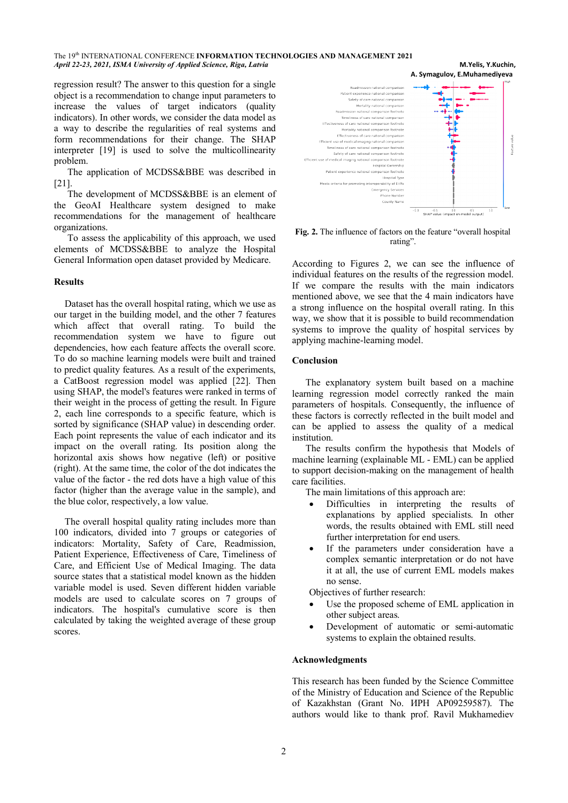The 19th INTERNATIONAL CONFERENCE **INFORMATION TECHNOLOGIES AND MANAGEMENT 2021** *April 22-23, 2021, ISMA University of Applied Science, Riga, Latvia* **M.Yelis, Y.Kuchin,**

regression result? The answer to this question for a single object is a recommendation to change input parameters to increase the values of target indicators (quality indicators). In other words, we consider the data model as a way to describe the regularities of real systems and form recommendations for their change. The SHAP interpreter [19] is used to solve the multicollinearity problem.

The application of MCDSS&BBE was described in [21].

The development of MCDSS&BBE is an element of the GeoAI Healthcare system designed to make recommendations for the management of healthcare organizations.

To assess the applicability of this approach, we used elements of MCDSS&BBE to analyze the Hospital General Information open dataset provided by Medicare.

# **Results**

Dataset has the overall hospital rating, which we use as our target in the building model, and the other 7 features which affect that overall rating. To build the recommendation system we have to figure out dependencies, how each feature affects the overall score. To do so machine learning models were built and trained to predict quality features. As a result of the experiments, a CatBoost regression model was applied [22]. Then using SHAP, the model's features were ranked in terms of their weight in the process of getting the result. In Figure 2, each line corresponds to a specific feature, which is sorted by significance (SHAP value) in descending order. Each point represents the value of each indicator and its impact on the overall rating. Its position along the horizontal axis shows how negative (left) or positive (right). At the same time, the color of the dot indicates the value of the factor - the red dots have a high value of this factor (higher than the average value in the sample), and the blue color, respectively, a low value.

The overall hospital quality rating includes more than 100 indicators, divided into 7 groups or categories of indicators: Mortality, Safety of Care, Readmission, Patient Experience, Effectiveness of Care, Timeliness of Care, and Efficient Use of Medical Imaging. The data source states that a statistical model known as the hidden variable model is used. Seven different hidden variable models are used to calculate scores on 7 groups of indicators. The hospital's cumulative score is then calculated by taking the weighted average of these group scores.



**Fig. 2.** The influence of factors on the feature "overall hospital rating".

According to Figures 2, we can see the influence of individual features on the results of the regression model. If we compare the results with the main indicators mentioned above, we see that the 4 main indicators have a strong influence on the hospital overall rating. In this way, we show that it is possible to build recommendation systems to improve the quality of hospital services by applying machine-learning model.

# **Conclusion**

The explanatory system built based on a machine learning regression model correctly ranked the main parameters of hospitals. Consequently, the influence of these factors is correctly reflected in the built model and can be applied to assess the quality of a medical institution.

The results confirm the hypothesis that Models of machine learning (explainable ML - EML) can be applied to support decision-making on the management of health care facilities.

The main limitations of this approach are:

- Difficulties in interpreting the results of explanations by applied specialists. In other words, the results obtained with EML still need further interpretation for end users.
- If the parameters under consideration have a complex semantic interpretation or do not have it at all, the use of current EML models makes no sense.

Objectives of further research:

- Use the proposed scheme of EML application in other subject areas.
- Development of automatic or semi-automatic systems to explain the obtained results.

# **Acknowledgments**

This research has been funded by the Science Committee of the Ministry of Education and Science of the Republic of Kazakhstan (Grant No. ИРН AP09259587). The authors would like to thank prof. Ravil Mukhamediev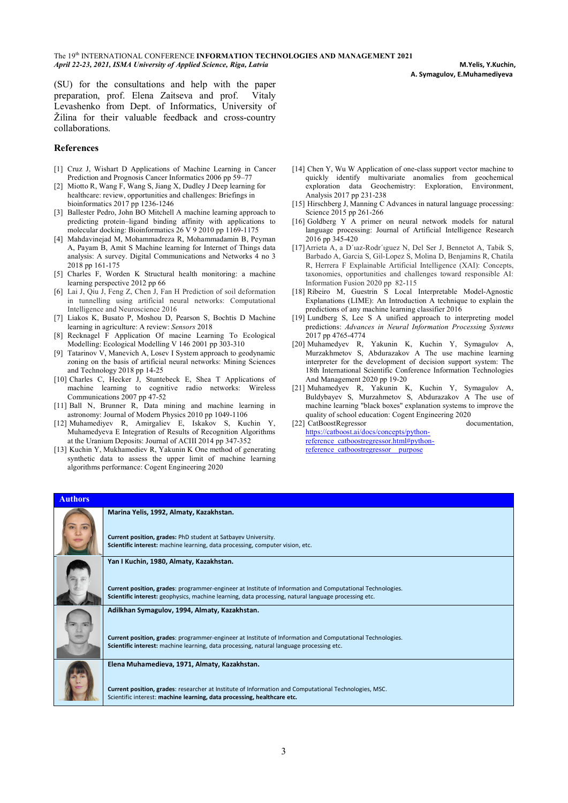**A. Symagulov, E.Muhamediyeva**

(SU) for the consultations and help with the paper preparation, prof. Elena Zaitseva and prof. Vitaly Levashenko from Dept. of Informatics, University of Žilina for their valuable feedback and cross-country collaborations.

# **References**

- [1] Cruz J, Wishart D Applications of Machine Learning in Cancer Prediction and Prognosis Cancer Informatics 2006 pp 59–77
- [2] Miotto R, Wang F, Wang S, Jiang X, Dudley J Deep learning for healthcare: review, opportunities and challenges: Briefings in bioinformatics 2017 pp 1236-1246
- [3] Ballester Pedro, John BO Mitchell A machine learning approach to predicting protein–ligand binding affinity with applications to molecular docking: Bioinformatics 26 V 9 2010 pp 1169-1175
- [4] Mahdavinejad M, Mohammadreza R, Mohammadamin B, Peyman A, Payam B, Amit S Machine learning for Internet of Things data analysis: A survey. Digital Communications and Networks 4 no 3 2018 pp 161-175
- [5] Charles F, Worden K Structural health monitoring: a machine learning perspective 2012 pp 66
- [6] Lai J, Qiu J, Feng Z, Chen J, Fan H Prediction of soil deformation in tunnelling using artificial neural networks: Computational Intelligence and Neuroscience 2016
- [7] Liakos K, Busato P, Moshou D, Pearson S, Bochtis D Machine learning in agriculture: A review: *Sensors* 2018
- [8] Recknagel F Application Of macine Learning To Ecological Modelling: Ecological Modelling V 146 2001 pp 303-310
- [9] Tatarinov V, Manevich A, Losev I System approach to geodynamic zoning on the basis of artificial neural networks: Mining Sciences and Technology 2018 pp 14-25
- [10] Charles C, Hecker J, Stuntebeck E, Shea T Applications of machine learning to cognitive radio networks: Wireless Communications 2007 pp 47-52
- [11] Ball N, Brunner R, Data mining and machine learning in astronomy: Journal of Modern Physics 2010 pp 1049-1106
- [12] Muhamediyev R, Amirgaliev E, Iskakov S, Kuchin Y, Muhamedyeva E Integration of Results of Recognition Algorithms at the Uranium Deposits: Journal of ACIII 2014 pp 347-352
- [13] Kuchin Y, Mukhamediev R, Yakunin K One method of generating synthetic data to assess the upper limit of machine learning algorithms performance: Cogent Engineering 2020
- [14] Chen Y, Wu W Application of one-class support vector machine to quickly identify multivariate anomalies from geochemical exploration data Geochemistry: Exploration, Environment, Analysis 2017 pp 231-238
- [15] Hirschberg J, Manning C Advances in natural language processing: Science 2015 pp 261-266
- [16] Goldberg Y A primer on neural network models for natural language processing: Journal of Artificial Intelligence Research 2016 pp 345-420
- [17]Arrieta A, a D´ıaz-Rodr´ıguez N, Del Ser J, Bennetot A, Tabik S, Barbado A, Garcia S, Gil-Lopez S, Molina D, Benjamins R, Chatila R, Herrera F Explainable Artificial Intelligence (XAI): Concepts, taxonomies, opportunities and challenges toward responsible AI: Information Fusion 2020 pp 82-115
- [18] Ribeiro M, Guestrin S Local Interpretable Model-Agnostic Explanations (LIME): An Introduction A technique to explain the predictions of any machine learning classifier 2016
- [19] Lundberg S, Lee S A unified approach to interpreting model predictions: *Advances in Neural Information Processing Systems* 2017 pp 4765-4774
- [20] Muhamedyev R, Yakunin K, Kuchin Y, Symagulov A, Murzakhmetov S, Abdurazakov A The use machine learning interpreter for the development of decision support system: The 18th International Scientific Conference Information Technologies And Management 2020 pp 19-20
- [21] Muhamedyev R, Yakunin K, Kuchin Y, Symagulov A, Buldybayev S, Murzahmetov S, Abdurazakov A The use of machine learning "black boxes" explanation systems to improve the quality of school education: Cogent Engineering 2020<br>CatBoostRegressor documentation.

 $[22]$  CatBoostRegressor https://catboost.ai/docs/concepts/pythonreference\_catboostregressor.html#pythonreference\_catboostregressor\_\_purpose

| <b>Authors</b> |                                                                                                                                                                                                                                                              |
|----------------|--------------------------------------------------------------------------------------------------------------------------------------------------------------------------------------------------------------------------------------------------------------|
|                | Marina Yelis, 1992, Almaty, Kazakhstan.<br>Current position, grades: PhD student at Satbayev University.<br>Scientific interest: machine learning, data processing, computer vision, etc.                                                                    |
|                | Yan I Kuchin, 1980, Almaty, Kazakhstan.<br>Current position, grades: programmer-engineer at Institute of Information and Computational Technologies.<br>Scientific interest: geophysics, machine learning, data processing, natural language processing etc. |
|                | Adilkhan Symagulov, 1994, Almaty, Kazakhstan.<br>Current position, grades: programmer-engineer at Institute of Information and Computational Technologies.<br>Scientific interest: machine learning, data processing, natural language processing etc.       |
|                | Elena Muhamedieva, 1971, Almaty, Kazakhstan.<br>Current position, grades: researcher at Institute of Information and Computational Technologies, MSC.<br>Scientific interest: machine learning, data processing, healthcare etc.                             |